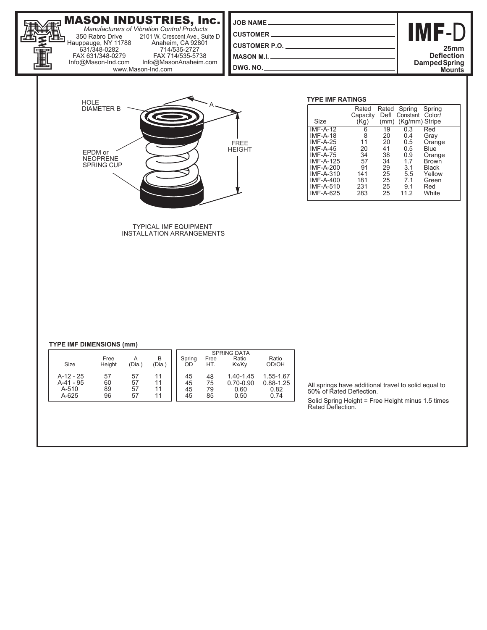

| JOB NAME               |
|------------------------|
| CUSTOMER               |
| <b>CUSTOMER P.O. _</b> |
| MASON M.I. ______      |
|                        |
| DWG. NO. ________      |





|                  | Rated    | Rated | Spring         | Spring       |
|------------------|----------|-------|----------------|--------------|
|                  | Capacity | Defl  | Constant       | Color/       |
| Size             | (Kg)     | (mm)  | (Kg/mm) Stripe |              |
| $IMF-A-12$       | 6        | 19    | 0.3            | Red          |
| <b>IMF-A-18</b>  | 8        | 20    | 0.4            | Gray         |
| <b>IMF-A-25</b>  | 11       | 20    | 0.5            | Orange       |
| <b>IMF-A-45</b>  | 20       | 41    | 0.5            | Blue         |
| $IMF-A-75$       | 34       | 38    | 0.9            | Orange       |
| <b>IMF-A-125</b> | 57       | 34    | 17             | <b>Brown</b> |
| <b>IMF-A-200</b> | 91       | 29    | 3.1            | Black        |
| <b>IMF-A-310</b> | 141      | 25    | 5.5            | Yellow       |
| <b>IMF-A-400</b> | 181      | 25    | 7.1            | Green        |
| <b>IMF-A-510</b> | 231      | 25    | 9.1            | Red          |
| <b>IMF-A-625</b> | 283      | 25    | 11.2           | White        |
|                  |          |       |                |              |

## TYPICAL IMF EQUIPMENT INSTALLATION ARRANGEMENTS

## **IMF DIMENSIONS (mm) TYPE**

|                                                  |                      |                      |                      | <b>SPRING DATA</b>   |                      |                                            |                                            |  |
|--------------------------------------------------|----------------------|----------------------|----------------------|----------------------|----------------------|--------------------------------------------|--------------------------------------------|--|
| Size                                             | Free<br>Height       | (Dia.)               | B<br>(Dia.)          | Spring<br>OD         | Free<br>HT.          | Ratio<br>Kx/Kv                             | Ratio<br>OD/OH                             |  |
| $A-12 - 25$<br>$A-41 - 95$<br>A-510<br>$A - 625$ | 57<br>60<br>89<br>96 | 57<br>57<br>57<br>57 | 11<br>11<br>11<br>11 | 45<br>45<br>45<br>45 | 48<br>75<br>79<br>85 | 1.40-1.45<br>$0.70 - 0.90$<br>0.60<br>0.50 | 1.55-1.67<br>$0.88 - 1.25$<br>0.82<br>0.74 |  |

All springs have additional travel to solid equal to 50% of Rated Deflection.

Solid Spring Height = Free Height minus 1.5 times Rated Deflection.